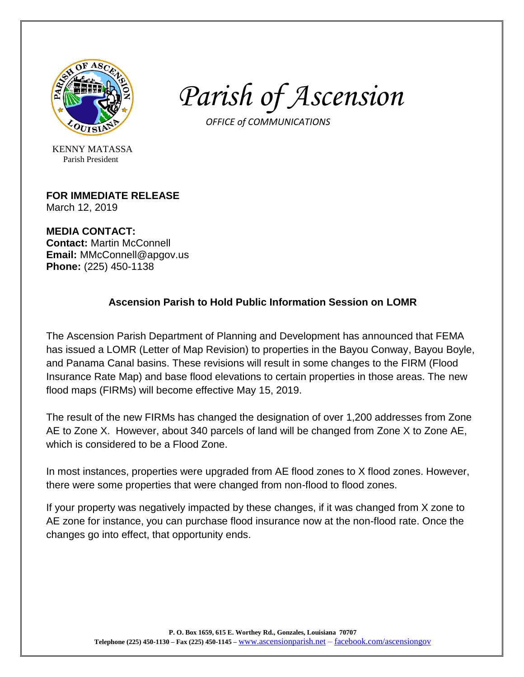

*Parish of Ascension*

 *OFFICE of COMMUNICATIONS*

KENNY MATASSA Parish President

## **FOR IMMEDIATE RELEASE**

March 12, 2019

**MEDIA CONTACT: Contact:** Martin McConnell **Email:** MMcConnell@apgov.us **Phone:** (225) 450-1138

# **Ascension Parish to Hold Public Information Session on LOMR**

The Ascension Parish Department of Planning and Development has announced that FEMA has issued a LOMR (Letter of Map Revision) to properties in the Bayou Conway, Bayou Boyle, and Panama Canal basins. These revisions will result in some changes to the FIRM (Flood Insurance Rate Map) and base flood elevations to certain properties in those areas. The new flood maps (FIRMs) will become effective May 15, 2019.

The result of the new FIRMs has changed the designation of over 1,200 addresses from Zone AE to Zone X. However, about 340 parcels of land will be changed from Zone X to Zone AE, which is considered to be a Flood Zone.

In most instances, properties were upgraded from AE flood zones to X flood zones. However, there were some properties that were changed from non-flood to flood zones.

If your property was negatively impacted by these changes, if it was changed from X zone to AE zone for instance, you can purchase flood insurance now at the non-flood rate. Once the changes go into effect, that opportunity ends.